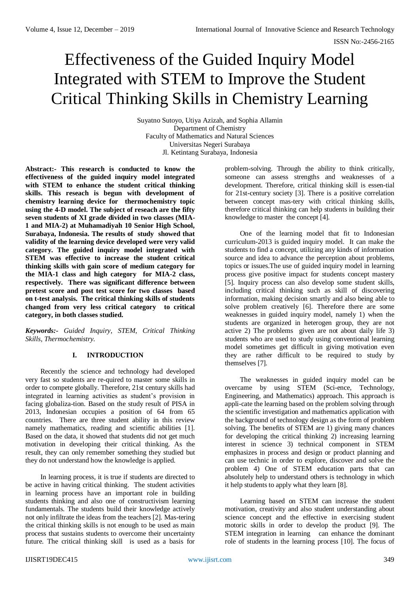# Effectiveness of the Guided Inquiry Model Integrated with STEM to Improve the Student Critical Thinking Skills in Chemistry Learning

Suyatno Sutoyo, Utiya Azizah, and Sophia Allamin Department of Chemistry Faculty of Mathematics and Natural Sciences Universitas Negeri Surabaya Jl. Ketintang Surabaya, Indonesia

**Abstract:- This research is conducted to know the effectiveness of the guided inquiry model integrated with STEM to enhance the student critical thinking skills. This reseach is begun with development of chemistry learning device for thermochemistry topic using the 4-D model. The subject of reseach are the fifty seven students of XI grade divided in two classes (MIA-1 and MIA-2) at Muhamadiyah 10 Senior High School, Surabaya, Indonesia. The results of study showed that validity of the learning device developed were very valid category. The guided inquiry model integrated with STEM was effective to increase the student critical thinking skills with gain score of medium category for the MIA-1 class and high category for MIA-2 class, respectively. There was significant difference between pretest score and post test score for two classes based on t-test analysis. The critical thinking skills of students changed from very less critical category to critical category, in both classes studied.**

*Keywords:- Guided Inquiry, STEM, Critical Thinking Skills, Thermochemistry.*

# **I. INTRODUCTION**

Recently the science and technology had developed very fast so students are re-quired to master some skills in order to compete globally. Therefore, 21st century skills had integrated in learning activities as student's provision in facing globaliza-tion. Based on the study result of PISA in 2013, Indonesian occupies a position of 64 from 65 countries. There are three student ability in this review namely mathematics, reading and scientific abilities [1]. Based on the data, it showed that students did not get much motivation in developing their critical thinking. As the result, they can only remember something they studied but they do not understand how the knowledge is applied.

In learning process, it is true if students are directed to be active in having critical thinking. The student activities in learning process have an important role in building students thinking and also one of constructivism learning fundamentals. The students build their knowledge actively not only infiltrate the ideas from the teachers [2]. Mas-tering the critical thinking skills is not enough to be used as main process that sustains students to overcome their uncertainty future. The critical thinking skill is used as a basis for

problem-solving. Through the ability to think critically, someone can assess strengths and weaknesses of a development. Therefore, critical thinking skill is essen-tial for 21st-century society [3]. There is a positive correlation between concept mas-tery with critical thinking skills, therefore critical thinking can help students in building their knowledge to master the concept [4].

One of the learning model that fit to Indonesian curriculum-2013 is guided inquiry model. It can make the students to find a concept, utilizing any kinds of information source and idea to advance the perception about problems, topics or issues.The use of guided inquiry model in learning process give positive impact for students concept mastery [5]. Inquiry process can also develop some student skills, including critical thinking such as skill of discovering information, making decision smartly and also being able to solve problem creatively [6]. Therefore there are some weaknesses in guided inquiry model, namely 1) when the students are organized in heterogen group, they are not active 2) The problems given are not about daily life 3) students who are used to study using conventional learning model sometimes get difficult in giving motivation even they are rather difficult to be required to study by themselves [7].

The weaknesses in guided inquiry model can be overcame by using STEM (Sci-ence, Technology, Engineering, and Mathematics) approach. This approach is appli-cate the learning based on the problem solving through the scientific investigation and mathematics application with the background of technology design as the form of problem solving. The benefits of STEM are 1) giving many chances for developing the critical thinking 2) increasing learning interest in science 3) technical component in STEM emphasizes in process and design or product planning and can use technic in order to explore, discover and solve the problem 4) One of STEM education parts that can absolutely help to understand others is technology in which it help students to apply what they learn [8].

Learning based on STEM can increase the student motivation, creativity and also student understanding about science concept and the effective in exercising student motoric skills in order to develop the product [9]. The STEM integration in learning can enhance the dominant role of students in the learning process [10]. The focus of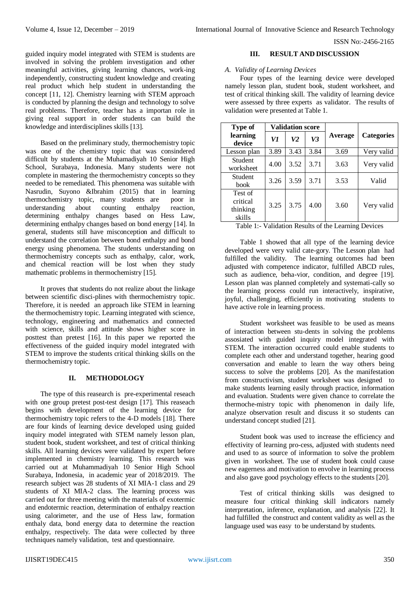guided inquiry model integrated with STEM is students are involved in solving the problem investigation and other meaningful activities, giving learning chances, work-ing independently, constructing student knowledge and creating real product which help student in understanding the concept [11, 12]. Chemistry learning with STEM approach is conducted by planning the design and technology to solve real problems. Therefore, teacher has a importan role in giving real support in order students can build the knowledge and interdisciplines skills [13].

Based on the preliminary study, thermochemistry topic was one of the chemistry topic that was consindered difficult by students at the Muhamadiyah 10 Senior High School, Surabaya, Indonesia. Many students were not complete in mastering the thermochemistry concepts so they needed to be remediated. This phenomena was suitable with Nasrudin, Suyono &Ibrahim (2015) that in learning thermochemistry topic, many students are poor in understanding about counting enthalpy reaction, determining enthalpy changes based on Hess Law, determining enthalpy changes based on bond energy [14]. In general, students still have misconception and difficult to understand the correlation between bond enthalpy and bond energy using phenomena. The students understanding on thermochemistry concepts such as enthalpy, calor, work, and chemical reaction will be lost when they study mathematic problems in thermochemistry [15].

It proves that students do not realize about the linkage between scientific disci-plines with thermochemistry topic. Therefore, it is needed an approach like STEM in learning the thermochemistry topic. Learning integrated with science, technology, engineering and mathematics and connected with science, skills and attitude shows higher score in posttest than pretest [16]. In this paper we reported the effectiveness of the guided inquiry model integrated with STEM to improve the students critical thinking skills on the thermochemistry topic.

# **II. METHODOLOGY**

The type of this reasearch is pre-experimental reseach with one group pretest post-test design [17]. This reaseach begins with development of the learning device for thermochemistry topic refers to the 4-D models [18]. There are four kinds of learning device developed using guided inquiry model integrated with STEM namely lesson plan, student book, student worksheet, and test of critical thinking skills. All learning devices were validated by expert before implemented in chemistry learning. This research was carried out at Muhammadiyah 10 Senior High School Surabaya, Indonesia, in academic year of 2018/2019. The research subject was 28 students of XI MIA-1 class and 29 students of XI MIA-2 class. The learning process was carried out for three meeting with the materials of exotermic and endotermic reaction, determination of enthalpy reaction using calorimeter, and the use of Hess law, formation enthaly data, bond energy data to determine the reaction enthalpy, respectively. The data were collected by three techniques namely validation, test and questionnaire.

## **III. RESULT AND DISCUSSION**

## *A. Validity of Learning Devices*

Four types of the learning device were developed namely lesson plan, student book, student worksheet, and test of critical thinking skill. The validity of learning device were assessed by three experts as validator. The results of validation were presented at Table 1.

| Type of                                   | <b>Validation score</b> |      |      |         |                   |
|-------------------------------------------|-------------------------|------|------|---------|-------------------|
| learning<br>device                        | V1                      | V2   | V3   | Average | <b>Categories</b> |
| Lesson plan                               | 3.89                    | 3.43 | 3.84 | 3.69    | Very valid        |
| Student<br>worksheet                      | 4.00                    | 3.52 | 3.71 | 3.63    | Very valid        |
| Student<br><b>book</b>                    | 3.26                    | 3.59 | 3.71 | 3.53    | Valid             |
| Test of<br>critical<br>thinking<br>skills | 3.25                    | 3.75 | 4.00 | 3.60    | Very valid        |

Table 1:- Validation Results of the Learning Devices

Table 1 showed that all type of the learning device developed were very valid cate-gory. The Lesson plan had fulfilled the validity. The learning outcomes had been adjusted with competence indicator, fulfilled ABCD rules, such as audience, beha-vior, condition, and degree [19]. Lesson plan was planned completely and systemati-cally so the learning process could run interactively, inspirative, joyful, challenging, efficiently in motivating students to have active role in learning process.

Student worksheet was feasible to be used as means of interaction between stu-dents in solving the problems assosiated with guided inquiry model integrated with STEM. The interaction occurred could enable students to complete each other and understand together, hearing good conversation and enable to learn the way others being success to solve the problems [20]. As the manifestation from constructivism, student worksheet was designed to make students learning easily through practice, information and evaluation. Students were given chance to correlate the thermoche-mistry topic with phenomenon in daily life, analyze observation result and discuss it so students can understand concept studied [21].

Student book was used to increase the efficiency and effectivity of learning pro-cess, adjusted with students need and used to as source of information to solve the problem given in worksheet. The use of student book could cause new eagerness and motivation to envolve in learning process and also gave good psychology effects to the students [20].

Test of critical thinking skills was designed to measure four critical thinking skill indicators namely interpretation, inference, explanation, and analysis [22]. It had fulfilled the construct and content validity as well as the language used was easy to be understand by students.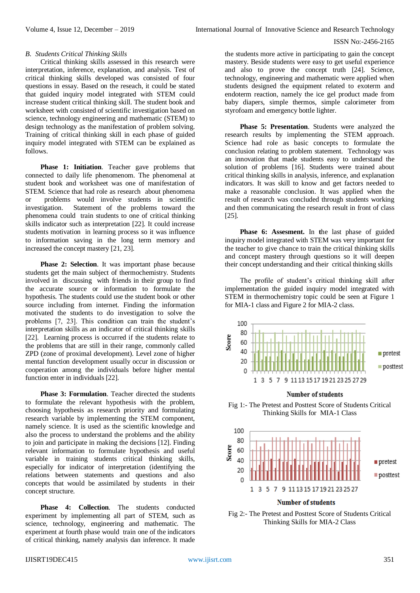#### *B. Students Critical Thinking Skills*

Critical thinking skills assessed in this research were interpretation, inference, explanation, and analysis. Test of critical thinking skills developed was consisted of four questions in essay. Based on the reseach, it could be stated that guided inquiry model integrated with STEM could increase student critical thinking skill. The student book and worksheet with consisted of scientific investigation based on science, technology engineering and mathematic (STEM) to design technology as the manifestation of problem solving. Training of critical thinking skill in each phase of guided inquiry model integrated with STEM can be explained as follows.

**Phase 1: Initiation**. Teacher gave problems that connected to daily life phenomenom. The phenomenal at student book and worksheet was one of manifestation of STEM. Science that had role as research about phenomena or problems would involve students in scientific investigation. Statement of the problems toward the phenomena could train students to one of critical thinking skills indicator such as interpretation [22]. It could increase students motivation in learning process so it was influence to information saving in the long term memory and increased the concept mastery [21, 23].

**Phase 2: Selection**. It was important phase because students get the main subject of thermochemistry. Students involved in discussing with friends in their group to find the accurate source or information to formulate the hypothesis. The students could use the student book or other source including from internet. Finding the information motivated the students to do investigation to solve the problems [7, 23]. This condition can train the student's interpretation skills as an indicator of critical thinking skills [22]. Learning process is occurred if the students relate to the problems that are still in their range, commonly called ZPD (zone of proximal development). Level zone of higher mental function development usually occur in discussion or cooperation among the individuals before higher mental function enter in individuals [22].

**Phase 3: Formulation**. Teacher directed the students to formulate the relevant hypothesis with the problem, choosing hypothesis as research priority and formulating research variable by implementing the STEM component, namely science. It is used as the scientific knowledge and also the process to understand the problems and the ability to join and participate in making the decisions [12]. Finding relevant information to formulate hypothesis and useful variable in training students critical thinking skills, especially for indicator of interpretation (identifying the relations between statements and questions and also concepts that would be assimilated by students in their concept structure.

**Phase 4: Collection**. The students conducted experiment by implementing all part of STEM, such as science, technology, engineering and mathematic. The experiment at fourth phase would train one of the indicators of critical thinking, namely analysis dan inference. It made

the students more active in participating to gain the concept mastery. Beside students were easy to get useful experience and also to prove the concept truth [24]. Science, technology, engineering and mathematic were applied when students designed the equipment related to exoterm and endoterm reaction, namely the ice gel product made from baby diapers, simple thermos, simple calorimeter from styrofoam and emergency bottle lighter.

**Phase 5: Presentation**. Students were analyzed the research results by implementing the STEM approach. Science had role as basic concepts to formulate the conclusion relating to problem statement. Technology was an innovation that made students easy to understand the solution of problems [16]. Students were trained about critical thinking skills in analysis, inference, and explanation indicators. It was skill to know and get factors needed to make a reasonable conclusion. It was applied when the result of research was concluded through students working and then communicating the research result in front of class [25].

**Phase 6: Assesment.** In **t**he last phase of guided inquiry model integrated with STEM was very important for the teacher to give chance to train the critical thinking skills and concept mastery through questions so it will deepen their concept understanding and their critical thinking skills

The profile of student's critical thinking skill after implementation the guided inquiry model integrated with STEM in thermochemistry topic could be seen at Figure 1 for MIA-1 class and Figure 2 for MIA-2 class.





#### **Number of students**

Fig 2:- The Pretest and Posttest Score of Students Critical Thinking Skills for MIA-2 Class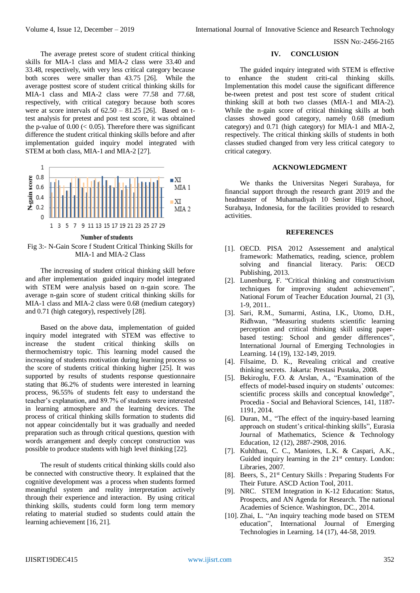The average pretest score of student critical thinking skills for MIA-1 class and MIA-2 class were 33.40 and 33.48, respectively, with very less critical category because both scores were smaller than 43.75 [26]. While the average posttest score of student critical thinking skills for MIA-1 class and MIA-2 class were 77.58 and 77.68, respectively, with critical category because both scores were at score intervals of  $62.50 - 81.25$  [26]. Based on ttest analysis for pretest and post test score, it was obtained the p-value of  $0.00 \, \text{(} < 0.05)$ . Therefore there was significant difference the student critical thinking skills before and after implementation guided inquiry model integrated with STEM at both class, MIA-1 and MIA-2 [27].



Fig 3:- N-Gain Score f Student Critical Thinking Skills for MIA-1 and MIA-2 Class

The increasing of student critical thinking skill before and after implementation guided inquiry model integrated with STEM were analysis based on n-gain score. The average n-gain score of student critical thinking skills for MIA-1 class and MIA-2 class were 0.68 (medium category) and 0.71 (high category), respectively [28].

Based on the above data, implementation of guided inquiry model integrated with STEM was effective to increase the student critical thinking skills on thermochemistry topic. This learning model caused the increasing of students motivation during learning process so the score of students critical thinking higher [25]. It was supported by results of students response questionnaire stating that 86.2% of students were interested in learning process, 96.55% of students felt easy to understand the teacher's explanation, and 89.7% of students were interested in learning atmosphere and the learning devices. The process of critical thinking skills formation to students did not appear coincidentally but it was gradually and needed preparation such as through critical questions, question with words arrangement and deeply concept construction was possible to produce students with high level thinking [22].

The result of students critical thinking skills could also be connected with constructive theory. It explained that the cognitive development was a process when students formed meaningful system and reality interpretation actively through their experience and interaction. By using critical thinking skills, students could form long term memory relating to material studied so students could attain the learning achievement [16, 21].

#### **IV. CONCLUSION**

The guided inquiry integrated with STEM is effective to enhance the student criti-cal thinking skills. Implementation this model cause the significant difference be-tween pretest and post test score of student critical thinking skill at both two classes (MIA-1 and MIA-2). While the n-gain score of critical thinking skills at both classes showed good category, namely 0.68 (medium category) and 0.71 (high category) for MIA-1 and MIA-2, respectively. The critical thinking skills of students in both classes studied changed from very less critical category to critical category.

## **ACKNOWLEDGMENT**

We thanks the Universitas Negeri Surabaya, for financial support through the research grant 2019 and the headmaster of Muhamadiyah 10 Senior High School, Surabaya, Indonesia, for the facilities provided to research activities.

## **REFERENCES**

- [1]. OECD. PISA 2012 Assessement and analytical framework: Mathematics, reading, science, problem solving and financial literacy. Paris: OECD Publishing, 2013.
- [2]. Lunenburg, F. "Critical thinking and constructivism techniques for improving student achievement", National Forum of Teacher Education Journal, 21 (3), 1-9, 2011..
- [3]. Sari, R.M., Sumarmi, Astina, I.K., Utomo, D.H., Ridhwan, "Measuring students scientific learning perception and critical thinking skill using paperbased testing: School and gender differences", International Journal of Emerging Technologies in Learning. 14 (19), 132-149, 2019.
- [4]. Filsaime, D. K., Revealing critical and creative thinking secrets. Jakarta: Prestasi Pustaka, 2008.
- [5]. Bekiroglu, F.O. & Arslan, A., "Examination of the effects of model-based inquiry on students' outcomes: scientific process skills and conceptual knowledge", Procedia - Social and Behavioral Sciences, 141, 1187- 1191, 2014.
- [6]. Duran, M., "The effect of the inquiry-based learning approach on student's critical-thinking skills", Eurasia Journal of Mathematics, Science & Technology Education, 12 (12), 2887-2908, 2016.
- [7]. Kuhlthau, C. C., Maniotes, L.K. & Caspari, A.K., Guided inquiry learning in the  $21<sup>st</sup>$  century. London: Libraries, 2007.
- [8]. Beers, S., 21<sup>st</sup> Century Skills : Preparing Students For Their Future. ASCD Action Tool, 2011.
- [9]. NRC. STEM Integration in K-12 Education: Status, Prospects, and AN Agenda for Research. The national Academies of Science. Washington, DC., 2014.
- [10]. Zhai, L. "An inquiry teaching mode based on STEM education", International Journal of Emerging Technologies in Learning. 14 (17), 44-58, 2019.